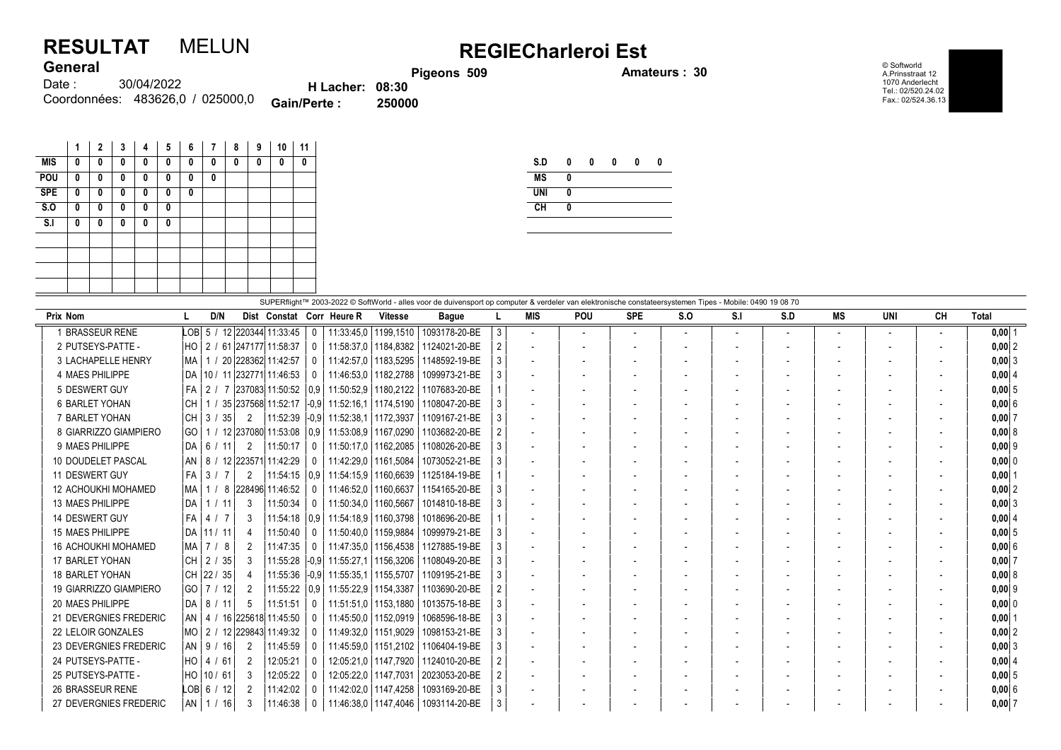## RESULTAT MELUN REGIECharleroi Est **General**

Pigeons 509 **Amateurs : 30** 

© Softworld A.Prinsstraat 12 1070 Anderlecht Tel.: 02/520.24.02 Fax.: 02/524.36.13

| <b>VUIVIUI</b> |                                  |                        |        |
|----------------|----------------------------------|------------------------|--------|
| Date : :       | 30/04/2022                       | <b>H</b> Lacher: 08:30 |        |
|                | Coordonnées: 483626.0 / 025000.0 | Gain/Perte:            | 250000 |

|            | 1 | $\mathbf{2}$ | 3 | 4 | 5 | 6 | 7 | 8 | 9 | 10 | 11 |
|------------|---|--------------|---|---|---|---|---|---|---|----|----|
| <b>MIS</b> | 0 | 0            | 0 | 0 | 0 | 0 | 0 | 0 | 0 | 0  | 0  |
| POU        | 0 | 0            | 0 | 0 | 0 | 0 | 0 |   |   |    |    |
| <b>SPE</b> | 0 | 0            | 0 | 0 | 0 | 0 |   |   |   |    |    |
| S.O        | 0 | 0            | 0 | 0 | 0 |   |   |   |   |    |    |
| S.I        | 0 | 0            | 0 | 0 | 0 |   |   |   |   |    |    |
|            |   |              |   |   |   |   |   |   |   |    |    |
|            |   |              |   |   |   |   |   |   |   |    |    |
|            |   |              |   |   |   |   |   |   |   |    |    |
|            |   |              |   |   |   |   |   |   |   |    |    |

| S.D        | 0 | 0 | 0 | 0 | Λ |
|------------|---|---|---|---|---|
| <b>MS</b>  | 0 |   |   |   |   |
| <b>UNI</b> | 0 |   |   |   |   |
| CH         | 0 |   |   |   |   |
|            |   |   |   |   |   |

| SUPERflight™ 2003-2022 © SoftWorld - alles voor de duivensport op computer & verdeler van elektronische constateersystemen Tipes - Mobile: 0490 19 08 70 |                                      |                           |              |                                |                        |               |   |                          |                          |            |                          |     |     |                          |     |    |            |
|----------------------------------------------------------------------------------------------------------------------------------------------------------|--------------------------------------|---------------------------|--------------|--------------------------------|------------------------|---------------|---|--------------------------|--------------------------|------------|--------------------------|-----|-----|--------------------------|-----|----|------------|
| Prix Nom                                                                                                                                                 | D/N                                  | Dist Constat Corr Heure R |              |                                | <b>Vitesse</b>         | <b>Bague</b>  |   | <b>MIS</b>               | <b>POU</b>               | <b>SPE</b> | S.O                      | S.I | S.D | MS                       | UNI | CН | Total      |
| 1 BRASSEUR RENE                                                                                                                                          | LOB 5 / 12 220344 11:33:45           |                           | $\mathbf{0}$ |                                | 11:33:45.0   1199.1510 | 1093178-20-BE | 3 | $\overline{\phantom{a}}$ | $\overline{\phantom{a}}$ |            | $\overline{\phantom{0}}$ |     |     | $\overline{\phantom{a}}$ |     |    | $0,00$ 1   |
| 2 PUTSEYS-PATTE -                                                                                                                                        | I HO<br>2 / 61 247177 11:58:37       |                           | $\mathbf{0}$ | │ 11:58:37.0│1184.8382│        |                        | 1124021-20-BE |   | $\overline{\phantom{a}}$ |                          |            |                          |     |     | $\overline{\phantom{a}}$ |     |    | $0,00$  2  |
| 3 LACHAPELLE HENRY                                                                                                                                       | 1 / 20 228362 11:42:57<br>  MA       |                           | $\mathbf{0}$ | 11:42:57.0   1183.5295         |                        | 1148592-19-BE |   | $\overline{\phantom{a}}$ |                          |            |                          |     |     | $\overline{\phantom{a}}$ |     |    | $0,00$ 3   |
| 4 MAES PHILIPPE                                                                                                                                          | DA   10 / 11   232771   11:46:53     |                           | 0            | 11:46:53.0   1182.2788         |                        | 1099973-21-BE |   | $\overline{\phantom{a}}$ |                          |            |                          |     |     | $\overline{\phantom{a}}$ |     |    | 0,00   4   |
| 5 DESWERT GUY                                                                                                                                            | FA<br>  2 / 7 237083 11:50:52        |                           |              | 0.9 11:50:52.9 1180.2122       |                        | 1107683-20-BE |   |                          |                          |            |                          |     |     |                          |     |    | 0,005      |
| <b>6 BARLET YOHAN</b>                                                                                                                                    | l CH<br>/ 35 237568 11:52:17         |                           |              | -0.9  11:52:16.1   1174.5190   |                        | 1108047-20-BE |   |                          |                          |            |                          |     |     |                          |     |    | 0,006      |
| 7 BARLET YOHAN                                                                                                                                           | l CH<br>3/35<br>2                    | 11:52:39                  |              | -0.9 11:52:38.1 1172.3937      |                        | 1109167-21-BE |   |                          |                          |            |                          |     |     |                          |     |    | $0,00$ 7   |
| 8 GIARRIZZO GIAMPIERO                                                                                                                                    | IGO I<br>1 / 12 237080 11:53:08      |                           |              | 0.9   11:53:08.9   1167.0290   |                        | 1103682-20-BE |   |                          |                          |            |                          |     |     |                          |     |    | 0,00   8   |
| 9 MAES PHILIPPE                                                                                                                                          | DA 6 / 11<br>2                       | 11:50:17                  | $\mathbf{0}$ | $11:50:17.0$   1162.2085       |                        | 1108026-20-BE |   | $\overline{\phantom{a}}$ |                          |            |                          |     |     |                          |     |    | $0,00$ 9   |
| 10 DOUDELET PASCAL                                                                                                                                       | 8 / 12 223571 11:42:29<br>l AN       |                           |              | $0$   11:42:29.0   1161.5084   |                        | 1073052-21-BE |   | $\overline{\phantom{a}}$ |                          |            |                          |     |     |                          |     |    | 0,00 0     |
| 11 DESWERT GUY                                                                                                                                           | FA  <br>3/7<br>$\overline{2}$        | 11:54:15                  |              | 0.9   11:54:15.9   1160.6639   |                        | 1125184-19-BE |   |                          |                          |            |                          |     |     |                          |     |    | $0,00$   1 |
| <b>12 ACHOUKHI MOHAMED</b>                                                                                                                               | 1 / 8 228496 11:46:52<br>  MA        |                           | $\mathbf{0}$ | $11:46:52.0$   1160.6637       |                        | 1154165-20-BE |   |                          |                          |            |                          |     |     |                          |     |    | $0,00$ 2   |
| 13 MAES PHILIPPE                                                                                                                                         | l DA<br>3<br>1 / 11                  | 11:50:34                  | $\Omega$     |                                | 11:50:34.0   1160.5667 | 1014810-18-BE |   |                          |                          |            |                          |     |     |                          |     |    | $0,00$ 3   |
| 14 DESWERT GUY                                                                                                                                           | l FA<br>4 / 7<br>3                   | 11:54:18                  |              | $ 0.9 $ 11:54:18.9   1160.3798 |                        | 1018696-20-BE |   |                          |                          |            |                          |     |     |                          |     |    | 0.0014     |
| 15 MAES PHILIPPE                                                                                                                                         | DA 111 / 11<br>4                     | 11:50:40                  | 0            | 11:50:40.0   1159.9884         |                        | 1099979-21-BE |   | $\overline{\phantom{a}}$ |                          |            |                          |     |     | $\overline{\phantom{a}}$ |     |    | $0,00$ 5   |
| <b>16 ACHOUKHI MOHAMED</b>                                                                                                                               | 7 / 8<br>  MA<br>2                   | 11:47:35                  | $\Omega$     |                                | 11:47:35.0   1156.4538 | 1127885-19-BE |   |                          |                          |            |                          |     |     |                          |     |    | 0,006      |
| 17 BARLET YOHAN                                                                                                                                          | l CH<br>2/35<br>3                    | 11:55:28                  |              | $-0.9$ 11:55:27.1              | 1156.3206              | 1108049-20-BE |   | $\overline{\phantom{a}}$ |                          |            |                          |     |     |                          |     |    | 0,007      |
| <b>18 BARLET YOHAN</b>                                                                                                                                   | CH 22 / 35                           | 11:55:36                  |              | -0.9 11:55:35.1 1155.5707      |                        | 1109195-21-BE |   | $\overline{\phantom{a}}$ |                          |            |                          |     |     | $\overline{\phantom{a}}$ |     |    | 0,00   8   |
| 19 GIARRIZZO GIAMPIERO                                                                                                                                   | GO   7 / 12<br>2                     | 11:55:22                  |              | 0.9   11:55:22.9   1154.3387   |                        | 1103690-20-BE |   | $\overline{\phantom{a}}$ |                          |            |                          |     |     | $\overline{\phantom{a}}$ |     |    | $0,00$  9  |
| 20 MAES PHILIPPE                                                                                                                                         | 5<br>DA   8 / 11                     | 11:51:51                  | $\Omega$     | 11:51:51.0   1153.1880         |                        | 1013575-18-BE |   |                          |                          |            |                          |     |     | $\overline{\phantom{a}}$ |     |    | 0,000      |
| 21 DEVERGNIES FREDERIC                                                                                                                                   | AN  <br>  4 / 16   225618   11:45:50 |                           | 0            | 11:45:50,0   1152,0919         |                        | 1068596-18-BE |   |                          |                          |            |                          |     |     |                          |     |    | $0,00$   1 |
| 22 LELOIR GONZALES                                                                                                                                       | 2 / 12 229843 11:49:32<br>  MO       |                           | $\mathbf{0}$ | 11:49:32,0   1151,9029         |                        | 1098153-21-BE |   |                          |                          |            |                          |     |     |                          |     |    | $0,00$  2  |
| 23 DEVERGNIES FREDERIC                                                                                                                                   | AN   9 / 16  <br>2                   | 11:45:59                  | 0            | 11:45:59.0   1151.2102         |                        | 1106404-19-BE |   |                          |                          |            |                          |     |     |                          |     |    | $0,00$ 3   |
| 24 PUTSEYS-PATTE -                                                                                                                                       | 2                                    | 12:05:21                  | $\mathbf{0}$ |                                | 12:05:21.0   1147.7920 | 1124010-20-BE |   |                          |                          |            |                          |     |     |                          |     |    | 0,0014     |
| 25 PUTSEYS-PATTE -                                                                                                                                       | HO 10 / 61<br>$\mathcal{E}$          | 12:05:22                  | $\Omega$     | 12:05:22.0   1147.7031         |                        | 2023053-20-BE |   |                          |                          |            |                          |     |     |                          |     |    | 0.0015     |
| 26 BRASSEUR RENE                                                                                                                                         | $LOB$ 6 / 12<br>2                    | 11:42:02                  | $\mathbf{0}$ |                                | 11:42:02.0   1147.4258 | 1093169-20-BE |   | $\overline{\phantom{a}}$ |                          |            |                          |     |     |                          |     |    | $0,00$ 6   |
| 27 DEVERGNIES FREDERIC                                                                                                                                   | AN   1 <i> </i> 16  <br>3            | 11:46:38                  | 0            | 11:46:38,0   1147,4046         |                        | 1093114-20-BE | 3 |                          |                          |            |                          |     |     |                          |     |    | 0,007      |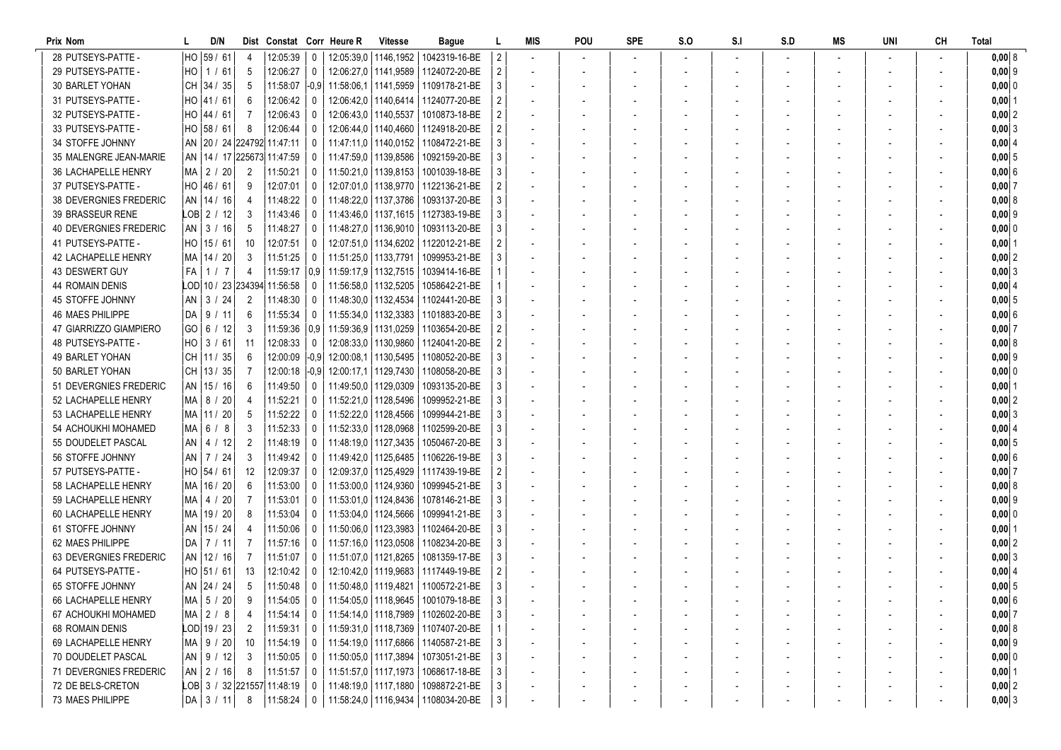| Prix Nom                      |             | D/N           |                | Dist Constat Corr Heure R                               |                |                        | <b>Vitesse</b>                                                    | Bague                                      |                           | MIS | POU | <b>SPE</b> | S.O | S.I | S.D | MS | UNI | <b>CH</b> | <b>Total</b> |
|-------------------------------|-------------|---------------|----------------|---------------------------------------------------------|----------------|------------------------|-------------------------------------------------------------------|--------------------------------------------|---------------------------|-----|-----|------------|-----|-----|-----|----|-----|-----------|--------------|
| 28 PUTSEYS-PATTE              | HO 59 / 61  |               |                | $12:05:39$ 0                                            |                |                        | 12:05:39.0   1146.1952                                            | 1042319-16-BE                              | $\overline{2}$            |     |     |            |     |     |     |    |     |           | 0,008        |
| 29 PUTSEYS-PATTE -            | HO 1 / 61   |               | -5             | 12:06:27                                                | 0              |                        | 12:06:27.0 1141.9589                                              | 1124072-20-BE                              | $\overline{c}$            |     |     |            |     |     |     |    |     |           | $0,00$ 9     |
| 30 BARLET YOHAN               |             | CH 34/35      | -5             |                                                         |                |                        | 11:58:07 -0.9 11:58:06.1 1141.5959                                | 1109178-21-BE                              | 3                         |     |     |            |     |     |     |    |     |           | 0,00 0       |
| 31 PUTSEYS-PATTE -            |             | HO  41 / 61   | -6             | 12:06:42                                                | 0              |                        | 12:06:42.0   1140.6414                                            | 1124077-20-BE                              | 2                         |     |     |            |     |     |     |    |     |           | $0,00$  1    |
| 32 PUTSEYS-PATTE -            | HO  44 / 61 |               |                | 12:06:43                                                | 0              | 12:06:43.0   1140.5537 |                                                                   | 1010873-18-BE                              |                           |     |     |            |     |     |     |    |     |           | $0,00$ 2     |
| 33 PUTSEYS-PATTE -            | HO 58 / 61  |               | -8             | 12:06:44                                                | 0              |                        | 12:06:44.0   1140.4660                                            | 1124918-20-BE                              |                           |     |     |            |     |     |     |    |     |           | $0,00$ 3     |
| 34 STOFFE JOHNNY              |             |               |                | AN 20 / 24 224792 11:47:11                              | 0              |                        | 11:47:11.0   1140.0152                                            | 1108472-21-BE                              | 3                         |     |     |            |     |     |     |    |     |           | 0,0014       |
| 35 MALENGRE JEAN-MARIE        |             |               |                | AN   14 / 17   225673   11:47:59                        | 0              |                        | 11:47:59.0   1139.8586                                            | 1092159-20-BE                              | 3                         |     |     |            |     |     |     |    |     |           | $0,00$ 5     |
| 36 LACHAPELLE HENRY           |             | MA   2 / 20   | $\overline{2}$ | 11:50:21                                                | 0              |                        | 11:50:21,0   1139,8153                                            | 1001039-18-BE                              | 3                         |     |     |            |     |     |     |    |     |           | 0,006        |
| 37 PUTSEYS-PATTE -            |             | HO 46 / 61    | -9             | 12:07:01                                                | 0              |                        | 12:07:01.0   1138.9770                                            | 1122136-21-BE                              |                           |     |     |            |     |     |     |    |     |           | 0,007        |
| <b>38 DEVERGNIES FREDERIC</b> |             | AN   14 / 16  | -4             | 11:48:22                                                | 0              |                        | 11:48:22,0   1137,3786                                            | 1093137-20-BE                              | 3                         |     |     |            |     |     |     |    |     |           | 0,008        |
| 39 BRASSEUR RENE              |             | LOB  2 / 12   | -3             | 11:43:46                                                | $\overline{0}$ |                        |                                                                   | 11:43:46.0   1137.1615   1127383-19-BE     | 3                         |     |     |            |     |     |     |    |     |           | $0,00$  9    |
| <b>40 DEVERGNIES FREDERIC</b> |             | AN 3 / 16     | -5             | 11:48:27                                                | 0              |                        | 11:48:27,0   1136,9010                                            | 1093113-20-BE                              | 3                         |     |     |            |     |     |     |    |     |           | 0,00 0       |
| 41 PUTSEYS-PATTE -            | HO 15 / 61  |               | -10            | 12:07:51                                                | 0              |                        | 12:07:51.0   1134.6202                                            | 1122012-21-BE                              |                           |     |     |            |     |     |     |    |     |           | $0,00$ 1     |
| 42 LACHAPELLE HENRY           |             | MA 14 / 20    | -3             | 11:51:25                                                | 0              | 11:51:25.0   1133.7791 |                                                                   | 1099953-21-BE                              | 3                         |     |     |            |     |     |     |    |     |           | 0,002        |
| 43 DESWERT GUY                | FA I        | 1/7           | 4              | $11:59:17$ 0.9                                          |                |                        | 11:59:17.9   1132.7515                                            | 1039414-16-BE                              |                           |     |     |            |     |     |     |    |     |           | $0,00$ 3     |
| <b>44 ROMAIN DENIS</b>        |             |               |                | LOD 10 / 23 234394 11:56:58                             | 0              |                        | 11:56:58.0   1132.5205                                            | 1058642-21-BE                              |                           |     |     |            |     |     |     |    |     |           | 0,004        |
| <b>45 STOFFE JOHNNY</b>       | AN I        | 3 / 24        | $\overline{2}$ | 11:48:30                                                | 0              | 11:48:30.0   1132.4534 |                                                                   | 1102441-20-BE                              | 3                         |     |     |            |     |     |     |    |     |           | $0,00$ 5     |
| 46 MAES PHILIPPE              |             | DA   9 / 11   | -6             | 11:55:34                                                | 0              |                        | 11:55:34.0   1132.3383                                            | 1101883-20-BE                              |                           |     |     |            |     |     |     |    |     |           | 0,006        |
| 47 GIARRIZZO GIAMPIERO        |             | GO  6 / 12    | -3             |                                                         |                |                        | $\vert$ 11:59:36 $\vert$ 0,9 $\vert$ 11:59:36,9 $\vert$ 1131,0259 | 1103654-20-BE                              | $\overline{2}$            |     |     |            |     |     |     |    |     |           | 0,007        |
| 48 PUTSEYS-PATTE -            |             |               | - 11           | 12:08:33                                                | 0              |                        | 12:08:33,0   1130,9860                                            | 1124041-20-BE                              | $\overline{c}$            |     |     |            |     |     |     |    |     |           | 0,00 8       |
| 49 BARLET YOHAN               |             | CH   11 / 35  | -6             | 12:00:09                                                | $ -0.9$        |                        | 12:00:08.1   1130.5495                                            | 1108052-20-BE                              | 3                         |     |     |            |     |     |     |    |     |           | $0,00$  9    |
| 50 BARLET YOHAN               |             | CH 13/35      |                | 12:00:18                                                | $ -0.9$        | 12:00:17.1   1129.7430 |                                                                   | 1108058-20-BE                              | 3                         |     |     |            |     |     |     |    |     |           | $0,00$ 0     |
| 51 DEVERGNIES FREDERIC        |             | AN 15 / 16    | -6             | 11:49:50                                                | 0              | 11:49:50,0   1129,0309 |                                                                   | 1093135-20-BE                              | 3                         |     |     |            |     |     |     |    |     |           | $0,00$   1   |
| 52 LACHAPELLE HENRY           |             | MA   8 / 20   |                | 11:52:21                                                | 0              |                        | 11:52:21.0   1128.5496                                            | 1099952-21-BE                              | 3                         |     |     |            |     |     |     |    |     |           | $0,00$ 2     |
| 53 LACHAPELLE HENRY           |             | MA   11 / 20  | .5             | 11:52:22                                                | 0              |                        | 11:52:22.0   1128.4566                                            | 1099944-21-BE                              | 3                         |     |     |            |     |     |     |    |     |           | $0,00$ 3     |
| 54 ACHOUKHI MOHAMED           | MA 6 / 8    |               | -3             | 11:52:33                                                | 0              | 11:52:33,0   1128,0968 |                                                                   | 1102599-20-BE                              | 3                         |     |     |            |     |     |     |    |     |           | 0,004        |
| 55 DOUDELET PASCAL            |             | $AN$   4 / 12 | 2              | 11:48:19                                                | 0              |                        | 11:48:19.0   1127.3435                                            | 1050467-20-BE                              |                           |     |     |            |     |     |     |    |     |           | $0,00$ 5     |
| 56 STOFFE JOHNNY              |             | AN   7 / 24   | -3             | 11:49:42                                                | 0              |                        | 11:49:42,0   1125,6485                                            | 1106226-19-BE                              | 3                         |     |     |            |     |     |     |    |     |           | 0,006        |
| 57 PUTSEYS-PATTE -            | HO 54 / 61  |               | -12            | 12:09:37                                                | 0              |                        | 12:09:37,0   1125,4929                                            | 1117439-19-BE                              | 2                         |     |     |            |     |     |     |    |     |           | $0,00$ 7     |
| 58 LACHAPELLE HENRY           |             | MA 16 / 20    | -6             | 11:53:00                                                | 0              |                        | 11:53:00.0   1124.9360                                            | 1099945-21-BE                              | 3                         |     |     |            |     |     |     |    |     |           | 0,008        |
| 59 LACHAPELLE HENRY           |             | MA   4 / 20   | -7             | 11:53:01                                                | 0              |                        | 11:53:01.0   1124.8436                                            | 1078146-21-BE                              | 3                         |     |     |            |     |     |     |    |     |           | $0,00$ 9     |
| 60 LACHAPELLE HENRY           |             | MA 19 / 20    | -8             | 11:53:04                                                | 0              | 11:53:04.0   1124.5666 |                                                                   | 1099941-21-BE                              | 3                         |     |     |            |     |     |     |    |     |           | $0,000$ 0    |
| 61 STOFFE JOHNNY              |             | AN 15 / 24    |                | 11:50:06                                                | $\mathbf{0}$   |                        | 11:50:06.0   1123.3983                                            | 1102464-20-BE                              | 3                         |     |     |            |     |     |     |    |     |           | $0,00$ 1     |
| 62 MAES PHILIPPE              |             | DA   7 / 11   |                | 11:57:16                                                | 0              |                        | 11:57:16.0   1123.0508                                            | 1108234-20-BE                              | 3                         |     |     |            |     |     |     |    |     |           | $0,00$  2    |
| 63 DEVERGNIES FREDERIC        |             | AN 12 / 16    |                | 11:51:07                                                | 0              |                        | 11:51:07,0   1121,8265                                            | 1081359-17-BE                              |                           |     |     |            |     |     |     |    |     |           | $0,00$ 3     |
| 64 PUTSEYS-PATTE              |             |               | -13            | 12:10:42                                                | $\mathbf{0}$   |                        |                                                                   | 12:10:42.0   1119.9683   1117449-19-BE     |                           |     |     |            |     |     |     |    |     |           | $0,00$ 4     |
| 65 STOFFE JOHNNY              |             | AN 24 / 24    | - 5            | $11:50:48$ $\mid$ 0                                     |                |                        |                                                                   | 11:50:48.0   1119.4821   1100572-21-BE     | 3                         |     |     |            |     |     |     |    |     |           | $0,00$ 5     |
| 66 LACHAPELLE HENRY           |             | MA   5 / 20   | 9              | 11:54:05                                                |                |                        |                                                                   | 0   11:54:05,0   1118,9645   1001079-18-BE | $\ensuremath{\mathsf{3}}$ |     |     |            |     |     |     |    |     |           | $0,00$ 6     |
| 67 ACHOUKHI MOHAMED           | MA 2 / 8    |               | 4              | $11:54:14$ 0                                            |                |                        |                                                                   | 11:54:14,0   1118,7989   1102602-20-BE     | 3                         |     |     |            |     |     |     |    |     |           | 0,007        |
| 68 ROMAIN DENIS               |             | $LOD$ 19 / 23 | $\overline{2}$ | $11:59:31$ 0                                            |                |                        |                                                                   | 11:59:31,0   1118,7369   1107407-20-BE     |                           |     |     |            |     |     |     |    |     |           | 0,008        |
| 69 LACHAPELLE HENRY           |             | MA   9 / 20   | - 10           | $11:54:19$ 0                                            |                |                        |                                                                   | 11:54:19,0   1117,6866   1140587-21-BE     | 3                         |     |     |            |     |     |     |    |     |           | $0,00$ 9     |
| 70 DOUDELET PASCAL            |             | AN   9 / 12   | - 3            | $11:50:05$ 0                                            |                |                        |                                                                   | 11:50:05.0   1117.3894   1073051-21-BE     | 3                         |     |     |            |     |     |     |    |     |           | $0,00$ 0     |
| 71 DEVERGNIES FREDERIC        |             | AN   2 / 16   | - 8            | $11:51:57$ 0                                            |                |                        |                                                                   | 11:51:57.0   1117.1973   1068617-18-BE     | 3                         |     |     |            |     |     |     |    |     |           | $0,00$  1    |
| 72 DE BELS-CRETON             |             |               |                | $\textsf{LOB}\vert\,3$ / 32 221557 11:48:19 $\vert\,$ 0 |                |                        |                                                                   | 11:48:19,0   1117,1880   1098872-21-BE     | 3                         |     |     |            |     |     |     |    |     |           | $0,00$ 2     |
| 73 MAES PHILIPPE              |             | DA 3/11       | - 8            | $11:58:24$ 0                                            |                |                        |                                                                   | 11:58:24,0   1116,9434   1108034-20-BE     | 3                         |     |     |            |     |     |     |    |     |           | $0,00$ 3     |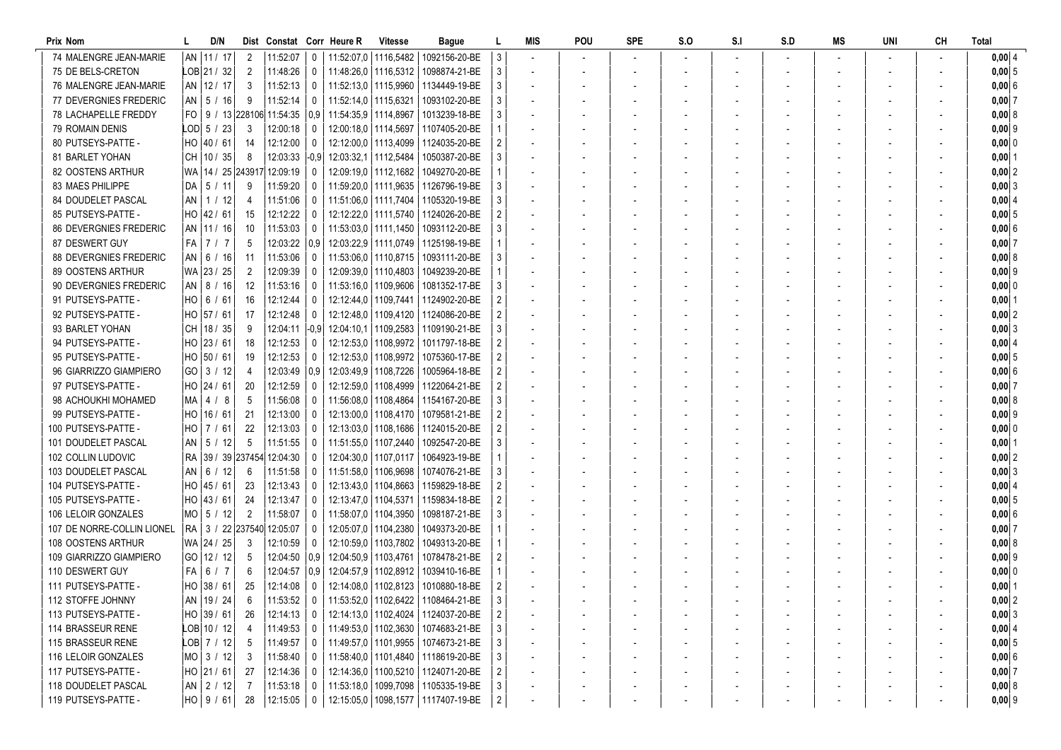| Prix Nom                      | D/N                          |                | Dist Constat Corr Heure R |                  |                           | <b>Vitesse</b>         | Bague                                   |                | MIS                      | POU | <b>SPE</b> | S.O | S <sub>1</sub> | S.D | MS | UNI | <b>CH</b> | Total          |
|-------------------------------|------------------------------|----------------|---------------------------|------------------|---------------------------|------------------------|-----------------------------------------|----------------|--------------------------|-----|------------|-----|----------------|-----|----|-----|-----------|----------------|
| 74 MALENGRE JEAN-MARIE        | AN   11 / 17                 | 2              | 11:52:07                  | 0                |                           |                        | 11:52:07.0   1116.5482   1092156-20-BE  |                |                          |     |            |     |                |     |    |     |           | 0,00   4       |
| 75 DE BELS-CRETON             | $LOB$   21 / 32              | $\overline{2}$ | 11:48:26                  | $\mathbf 0$      |                           |                        | 11:48:26.0   1116.5312   1098874-21-BE  | 3              |                          |     |            |     |                |     |    |     |           | $0,00 \vert 5$ |
| 76 MALENGRE JEAN-MARIE        | AN   12 / 17                 | 3              | 11:52:13                  | $^{\circ}$       |                           |                        | 11:52:13.0   1115.9960   1134449-19-BE  |                |                          |     |            |     |                |     |    |     |           | 0,00 6         |
| 77 DEVERGNIES FREDERIC        | $AN$   5 / 16                | 9              | 11:52:14                  | 0                | 11:52:14.0   1115.6321    |                        | 1093102-20-BE                           |                |                          |     |            |     |                |     |    |     |           | $0,00$ 7       |
| <b>78 LACHAPELLE FREDDY</b>   | FO   9 / 13 228106 11:54:35  |                |                           |                  | 0.9 11:54:35.9 11114.8967 |                        | 1013239-18-BE                           |                |                          |     |            |     |                |     |    |     |           | 0,008          |
| 79 ROMAIN DENIS               | $LOD$ 5 / 23                 | -3             | 12:00:18                  | $\Omega$         |                           |                        | 12:00:18.0   1114.5697   1107405-20-BE  |                |                          |     |            |     |                |     |    |     |           | 0,00   9       |
| 80 PUTSEYS-PATTE -            | HO   40 / 61                 | 14             | 12:12:00                  | $^{\circ}$       |                           | 12:12:00.0   1113.4099 | 1124035-20-BE                           |                |                          |     |            |     |                |     |    |     |           | $0,00$ 0       |
| 81 BARLET YOHAN               | CH   10 / 35                 | 8              | 12:03:33                  | -0.91            | 12:03:32.1   1112.5484    |                        | 1050387-20-BE                           |                |                          |     |            |     |                |     |    |     |           | $0,00$  1      |
| 82 OOSTENS ARTHUR             | WA   14 / 25 243917 12:09:19 |                |                           | $\Omega$         | 12:09:19,0   1112,1682    |                        | 1049270-20-BE                           |                |                          |     |            |     |                |     |    |     |           | $0,00$ 2       |
| 83 MAES PHILIPPE              | $DA$   5 / 11                | 9              | 11:59:20                  | $\Omega$         |                           |                        | 11:59:20.0   1111.9635   1126796-19-BE  |                | $\overline{\phantom{a}}$ |     |            |     |                |     |    |     |           | 0,003          |
| 84 DOUDELET PASCAL            | $AN$   1 / 12                | 4              | 11:51:06                  | 0                |                           |                        | 11:51:06.0   1111.7404   1105320-19-BE  |                | $\sim$                   |     |            |     |                |     |    |     |           | 0,00   4       |
| 85 PUTSEYS-PATTE -            | HO 42 / 61                   | 15             | 12:12:22                  | 0                |                           |                        | 12:12:22.0   1111.5740   1124026-20-BE  |                | $\overline{\phantom{a}}$ |     |            |     |                |     |    |     |           | $0,00$ 5       |
| <b>86 DEVERGNIES FREDERIC</b> | AN   11 / 16                 | 10             | 11:53:03                  | 0                | 11:53:03.0   1111.1450    |                        | 1093112-20-BE                           |                | $\overline{\phantom{a}}$ |     |            |     |                |     |    |     |           | 0,006          |
| 87 DESWERT GUY                | $FA$ 7 / 7                   | 5              | 12:03:22                  | 0.9 <sub>1</sub> |                           |                        | 12:03:22,9   1111,0749   1125198-19-BE  |                |                          |     |            |     |                |     |    |     |           | $0,00$ 7       |
| <b>88 DEVERGNIES FREDERIC</b> | AN   6 / 16                  | -11            | 11:53:06                  | 0                | 11:53:06.0   1110.8715    |                        | 1093111-20-BE                           |                |                          |     |            |     |                |     |    |     |           | 0,0018         |
| 89 OOSTENS ARTHUR             | WA 23 / 25                   | $\overline{2}$ | 12:09:39                  | $\Omega$         | 12:09:39.0   1110.4803    |                        | 1049239-20-BE                           |                |                          |     |            |     |                |     |    |     |           | $0,00$ 9       |
| 90 DEVERGNIES FREDERIC        | AN   8 / 16                  | 12             | 11:53:16                  | $^{\circ}$       |                           |                        | 11:53:16.0   1109.9606   1081352-17-BE  |                |                          |     |            |     |                |     |    |     |           | 0,00 0         |
| 91 PUTSEYS-PATTE -            | HO   6 / 61                  | 16             | 12:12:44                  | $^{\circ}$       |                           |                        | 12:12:44,0   1109,7441   1124902-20-BE  |                |                          |     |            |     |                |     |    |     |           | $0,00$  1      |
| 92 PUTSEYS-PATTE -            | HO 57 / 61                   | 17             | 12:12:48                  | $\Omega$         |                           |                        | 12:12:48.0   1109.4120   1124086-20-BE  |                |                          |     |            |     |                |     |    |     |           | $0,00$ 2       |
| 93 BARLET YOHAN               | CH   18 / 35                 | 9              | 12:04:11                  |                  |                           |                        | -0.9 12:04:10.1 1109.2583 1109190-21-BE |                |                          |     |            |     |                |     |    |     |           | $0,00$ 3       |
| 94 PUTSEYS-PATTE -            | HO 23 / 61                   | 18             | 12:12:53                  | 0                |                           |                        | 12:12:53.0   1108.9972   1011797-18-BE  |                | $\overline{\phantom{a}}$ |     |            |     |                |     |    |     |           | $0,00$ 4       |
| 95 PUTSEYS-PATTE -            | HO 50 / 61                   | 19             | 12:12:53                  | 0                |                           |                        | 12:12:53,0   1108,9972   1075360-17-BE  |                | $\blacksquare$           |     |            |     |                |     |    |     |           | $0,00$ 5       |
| 96 GIARRIZZO GIAMPIERO        | GO 3 / 12                    | 4              | 12:03:49                  | 0.9              | 12:03:49,9 1108,7226      |                        | 1005964-18-BE                           |                |                          |     |            |     |                |     |    |     |           | 0,006          |
| 97 PUTSEYS-PATTE -            | HO 24 / 61                   | 20             | 12:12:59                  | 0                |                           |                        | 12:12:59.0   1108.4999   1122064-21-BE  |                |                          |     |            |     |                |     |    |     |           | 0,0017         |
| 98 ACHOUKHI MOHAMED           | MA I<br>4/8                  | 5              | 11:56:08                  | $\Omega$         |                           |                        | 11:56:08.0   1108.4864   1154167-20-BE  |                |                          |     |            |     |                |     |    |     |           | 0,008          |
| 99 PUTSEYS-PATTE -            | $HO$   16 / 61               | 21             | 12:13:00                  | $\Omega$         |                           |                        | 12:13:00.0   1108.4170   1079581-21-BE  |                |                          |     |            |     |                |     |    |     |           | $0,00$ 9       |
| 100 PUTSEYS-PATTE -           | $HO$   7 / 61                | 22             | 12:13:03                  | $\Omega$         |                           |                        | 12:13:03.0   1108.1686   1124015-20-BE  |                |                          |     |            |     |                |     |    |     |           | $0,000$ 0      |
| 101 DOUDELET PASCAL           | $AN$   5 / 12                | 5              | 11:51:55                  | 0                |                           |                        | 11:51:55.0   1107.2440   1092547-20-BE  |                |                          |     |            |     |                |     |    |     |           | $0,00$  1      |
| 102 COLLIN LUDOVIC            | RA 39 / 39 237454 12:04:30   |                |                           | 0                |                           |                        | 12:04:30.0   1107.0117   1064923-19-BE  |                |                          |     |            |     |                |     |    |     |           | $0,00$ 2       |
| 103 DOUDELET PASCAL           | $AN$ 6 / 12                  | 6              | 11:51:58                  | 0                |                           |                        | 11:51:58.0   1106.9698   1074076-21-BE  |                |                          |     |            |     |                |     |    |     |           | $0,00$ 3       |
| 104 PUTSEYS-PATTE -           | HO 45 / 61                   | 23             | 12:13:43                  | 0                |                           |                        | 12:13:43.0   1104.8663   1159829-18-BE  |                | $\overline{\phantom{a}}$ |     |            |     |                |     |    |     |           | 0,0014         |
| 105 PUTSEYS-PATTE -           | HO 43 / 61                   | 24             | 12:13:47                  | 0                |                           |                        | 12:13:47.0   1104.5371   1159834-18-BE  |                |                          |     |            |     |                |     |    |     |           | 0,005          |
| 106 LELOIR GONZALES           | $MO$ 5 / 12                  | $\overline{2}$ | 11:58:07                  | $\Omega$         | 11:58:07.0   1104.3950    |                        | 1098187-21-BE                           |                |                          |     |            |     |                |     |    |     |           | 0,00 6         |
| 107 DE NORRE-COLLIN LIONEL    | RA 3 / 22 237540 12:05:07    |                |                           | $^{\circ}$       |                           | 12:05:07.0   1104.2380 | 1049373-20-BE                           |                |                          |     |            |     |                |     |    |     |           | 0,0017         |
| 108 OOSTENS ARTHUR            | WA 24 / 25                   | 3              | 12:10:59                  | $\Omega$         |                           | 12:10:59,0   1103,7802 | 1049313-20-BE                           |                |                          |     |            |     |                |     |    |     |           | 0,008          |
| 109 GIARRIZZO GIAMPIERO       | GO   12 / 12                 | 5              | 12:04:50                  | 0.9              |                           |                        | 12:04:50,9   1103,4761   1078478-21-BE  |                |                          |     |            |     |                |     |    |     |           | $0,00$ 9       |
| 110 DESWERT GUY               | FA  <br>6/7                  | 6              | 12:04:57                  | 0.9 <sub>1</sub> |                           |                        | 12:04:57.9   1102.8912   1039410-16-BE  |                |                          |     |            |     |                |     |    |     |           | $0,000$ 0      |
| 111 PUTSEYS-PATTE -           | HO 38 / 61                   | 25             | 12:14:08                  | $\mathbf 0$      |                           |                        | 12:14:08,0   1102,8123   1010880-18-BE  |                |                          |     |            |     |                |     |    |     |           | $0,00$ 1       |
| 112 STOFFE JOHNNY             | AN   19 / 24                 | 6              | 11:53:52                  | $\mathbf 0$      |                           |                        | 11:53:52,0   1102,6422   1108464-21-BE  | 3              |                          |     |            |     |                |     |    |     |           | $0,00$ 2       |
| 113 PUTSEYS-PATTE -           | HO 39 / 61                   | 26             | 12:14:13                  | $\mathbf 0$      |                           |                        | 12:14:13,0   1102,4024   1124037-20-BE  |                |                          |     |            |     |                |     |    |     |           | 0,003          |
| 114 BRASSEUR RENE             | $LOB$ 10 / 12                | 4              | 11:49:53                  | $\mathbf{0}$     |                           |                        | 11:49:53,0   1102,3630   1074683-21-BE  |                |                          |     |            |     |                |     |    |     |           | 0,004          |
| 115 BRASSEUR RENE             | $LOB$ 7 / 12                 | 5              | 11:49:57                  | 0                |                           |                        | 11:49:57,0   1101,9955   1074673-21-BE  |                |                          |     |            |     |                |     |    |     |           | 0,005          |
| 116 LELOIR GONZALES           | $MO$ 3 / 12                  | 3              | 11:58:40                  | 0                |                           |                        | 11:58:40,0   1101,4840   1118619-20-BE  |                |                          |     |            |     |                |     |    |     |           | 0,006          |
| 117 PUTSEYS-PATTE -           | HO 21 / 61                   | 27             | 12:14:36                  | $\mathbf{0}$     |                           |                        | 12:14:36,0   1100,5210   1124071-20-BE  |                |                          |     |            |     |                |     |    |     |           | 0,007          |
| 118 DOUDELET PASCAL           | $AN$   2 / 12                | 7              | 11:53:18                  | $^{\circ}$       |                           |                        | 11:53:18,0   1099,7098   1105335-19-BE  | 3              |                          |     |            |     |                |     |    |     |           | 0,008          |
| 119 PUTSEYS-PATTE -           | $HO$ 9 / 61                  | 28             | 12:15:05                  | $\mathbf 0$      |                           |                        | 12:15:05,0   1098,1577   1117407-19-BE  | $\overline{2}$ |                          |     |            |     |                |     |    |     |           | $0,00$ 9       |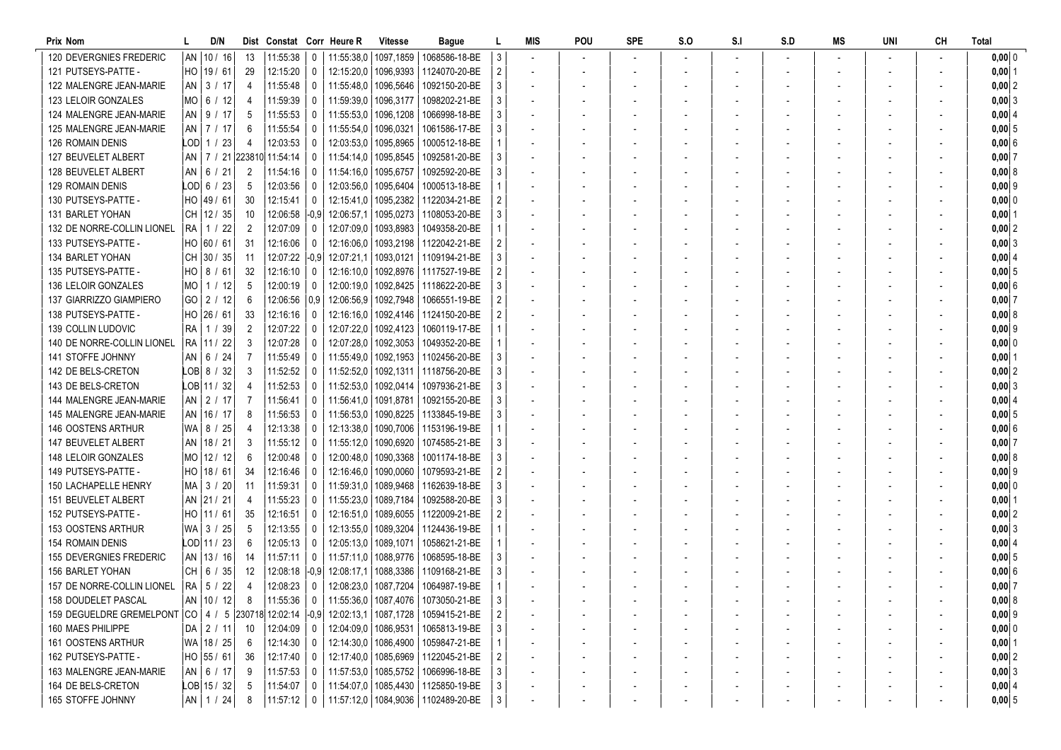| Prix Nom                                                                                    |                   | D/N |                | Dist Constat Corr Heure R   |                |                        | <b>Vitesse</b>         | Bague                                  |   | MIS                      | POU | <b>SPE</b> | S.O | S <sub>1</sub> | S.D | MS                       | UNI | <b>CH</b> | Total      |
|---------------------------------------------------------------------------------------------|-------------------|-----|----------------|-----------------------------|----------------|------------------------|------------------------|----------------------------------------|---|--------------------------|-----|------------|-----|----------------|-----|--------------------------|-----|-----------|------------|
| <b>120 DEVERGNIES FREDERIC</b>                                                              | AN   10 / 16      |     | 13             | 11:55:38                    | 0              |                        |                        | 11:55:38,0   1097,1859   1068586-18-BE |   |                          |     |            |     |                |     |                          |     |           | 0,00 0     |
| 121 PUTSEYS-PATTE -                                                                         | HO   19 / 61      |     | 29             | 12:15:20                    | $\mathbf 0$    |                        |                        | 12:15:20.0   1096.9393   1124070-20-BE |   |                          |     |            |     |                |     |                          |     |           | $0,00$ 1   |
| 122 MALENGRE JEAN-MARIE                                                                     | AN 3 / 17         |     | 4              | 11:55:48                    | 0              |                        |                        | 11:55:48.0   1096.5646   1092150-20-BE |   |                          |     |            |     |                |     |                          |     |           | $0,00$  2  |
| 123 LELOIR GONZALES                                                                         | MO   6 / 12       |     | 4              | 11:59:39                    | $^{\circ}$     | 11:59:39.0   1096.3177 |                        | 1098202-21-BE                          |   |                          |     |            |     |                |     |                          |     |           | 0,003      |
| 124 MALENGRE JEAN-MARIE                                                                     | $AN$   9 / 17     |     | 5              | 11:55:53                    | $^{\circ}$     | 11:55:53,0             | 1096,1208              | 1066998-18-BE                          |   |                          |     |            |     |                |     |                          |     |           | $0,00$ 4   |
| 125 MALENGRE JEAN-MARIE                                                                     | AN   7 / 17       |     | 6              | 11:55:54                    | $\Omega$       | 11:55:54,0             | 1096,0321              | 1061586-17-BE                          |   |                          |     |            |     |                |     |                          |     |           | $0,00$ 5   |
| <b>126 ROMAIN DENIS</b>                                                                     | LOD  1 / 23       |     | 4              | 12:03:53                    | 0              | 12:03:53,0             | 1095,8965              | 1000512-18-BE                          |   |                          |     |            |     |                |     |                          |     |           | 0,006      |
| 127 BEUVELET ALBERT                                                                         |                   |     |                | AN   7 / 21 223810 11:54:14 | $\mathbf{0}$   | 11:54:14.0   1095.8545 |                        | 1092581-20-BE                          |   |                          |     |            |     |                |     |                          |     |           | $0,00$ 7   |
| 128 BEUVELET ALBERT                                                                         | $AN$   6 / 21     |     | 2              | 11:54:16                    | $\Omega$       | 11:54:16.0             | 1095,6757              | 1092592-20-BE                          |   |                          |     |            |     |                |     |                          |     |           | 0,008      |
| <b>129 ROMAIN DENIS</b>                                                                     | LOD  6 / 23       |     | 5              | 12:03:56                    | 0              |                        | 12:03:56.0   1095.6404 | 1000513-18-BE                          |   | $\blacksquare$           |     |            |     |                |     |                          |     |           | $0,00$ 9   |
| 130 PUTSEYS-PATTE -                                                                         | HO 49 / 61        |     | 30             | 12:15:41                    | $\mathbf 0$    |                        |                        | 12:15:41.0   1095.2382   1122034-21-BE |   | $\overline{\phantom{a}}$ |     |            |     |                |     |                          |     |           | $0,00$ 0   |
| 131 BARLET YOHAN                                                                            | CH 12 / 35        |     | 10             | 12:06:58                    | $-0,9$         |                        |                        | 12:06:57.1   1095.0273   1108053-20-BE |   | $\overline{\phantom{a}}$ |     |            |     |                |     | $\overline{\phantom{a}}$ |     |           | $0,00$   1 |
| 132 DE NORRE-COLLIN LIONEL                                                                  | RA   1 / 22       |     | $\overline{2}$ | 12:07:09                    | 0              |                        |                        | 12:07:09.0   1093.8983   1049358-20-BE |   | $\overline{\phantom{a}}$ |     |            |     |                |     |                          |     |           | $0,00$  2  |
| 133 PUTSEYS-PATTE -                                                                         | HO 60 / 61        |     | 31             | 12:16:06                    | 0              | 12:16:06.0             |                        | 1093,2198   1122042-21-BE              |   |                          |     |            |     |                |     |                          |     |           | 0,003      |
| 134 BARLET YOHAN                                                                            | $CH$ 30 / 35      |     | -11            | 12:07:22                    | -0.91          | 12:07:21,1             |                        | 1093,0121   1109194-21-BE              |   |                          |     |            |     |                |     |                          |     |           | 0,0014     |
| 135 PUTSEYS-PATTE -                                                                         | $HO$   8 / 61     |     | 32             | 12:16:10                    | $^{\circ}$     | 12:16:10.0             |                        | 1092,8976 1117527-19-BE                |   |                          |     |            |     |                |     |                          |     |           | $0,00$ 5   |
| 136 LELOIR GONZALES                                                                         | $MO$ 1 / 12       |     | 5              | 12:00:19                    | $\Omega$       | 12:00:19,0             |                        | 1092,8425   1118622-20-BE              |   |                          |     |            |     |                |     |                          |     |           | 0,00 6     |
| 137 GIARRIZZO GIAMPIERO                                                                     | GO 2 / 12         |     | 6              | 12:06:56                    | 0.9            | 12:06:56,9             |                        | 1092,7948   1066551-19-BE              |   |                          |     |            |     |                |     |                          |     |           | $0,00$ 7   |
| 138 PUTSEYS-PATTE -                                                                         | HO 26 / 61        |     | 33             | 12:16:16                    | $\mathbf{0}$   |                        |                        | 12:16:16.0   1092.4146   1124150-20-BE |   |                          |     |            |     |                |     |                          |     |           | 0,008      |
| 139 COLLIN LUDOVIC                                                                          | RA   1 / 39       |     | $\overline{2}$ | 12:07:22                    | 0              |                        |                        | 12:07:22.0   1092.4123   1060119-17-BE |   |                          |     |            |     |                |     |                          |     |           | $0,00$ 9   |
| 140 DE NORRE-COLLIN LIONEL                                                                  | RA 11/22          |     | 3              | 12:07:28                    | 0              |                        |                        | 12:07:28.0   1092.3053   1049352-20-BE |   | $\overline{\phantom{a}}$ |     |            |     |                |     |                          |     |           | $0,000$ 0  |
| 141 STOFFE JOHNNY                                                                           | $AN$   6 / 24     |     | 7              | 11:55:49                    | 0              |                        |                        | 11:55:49.0   1092.1953   1102456-20-BE |   | $\overline{\phantom{a}}$ |     |            |     |                |     |                          |     |           | $0,00$   1 |
| 142 DE BELS-CRETON                                                                          | $LOB$ 8 / 32      |     | 3              | 11:52:52                    | 0              | 11:52:52,0             |                        | 1092,1311   1118756-20-BE              |   |                          |     |            |     |                |     |                          |     |           | $0,00$ 2   |
| 143 DE BELS-CRETON                                                                          | LOB 11 / 32       |     |                | 11:52:53                    | 0              | 11:52:53,0             | 1092,0414              | 1097936-21-BE                          |   |                          |     |            |     |                |     |                          |     |           | $0,00$ 3   |
| 144 MALENGRE JEAN-MARIE                                                                     | AN $\vert$ 2 / 17 |     |                | 11:56:41                    | $\Omega$       | 11:56:41.0             | 1091,8781              | 1092155-20-BE                          |   |                          |     |            |     |                |     |                          |     |           | 0,00   4   |
| <b>145 MALENGRE JEAN-MARIE</b>                                                              | AN   16 / 17      |     | 8              | 11:56:53                    | 0              | 11:56:53,0             |                        | 1090,8225   1133845-19-BE              |   |                          |     |            |     |                |     |                          |     |           | $0,00$ 5   |
| 146 OOSTENS ARTHUR                                                                          | WA   8 / 25       |     |                | 12:13:38                    | $\Omega$       |                        |                        | 12:13:38.0   1090.7006   1153196-19-BE |   |                          |     |            |     |                |     |                          |     |           | 0,006      |
| 147 BEUVELET ALBERT                                                                         | AN   18 / 21      |     | 3              | 11:55:12                    | $\Omega$       | 11:55:12,0   1090,6920 |                        | 1074585-21-BE                          |   |                          |     |            |     |                |     |                          |     |           | $0,00$ 7   |
| 148 LELOIR GONZALES                                                                         | MO 12 / 12        |     | 6              | 12:00:48                    | $^{\circ}$     |                        |                        | 12:00:48.0   1090.3368   1001174-18-BE |   | $\overline{\phantom{a}}$ |     |            |     |                |     |                          |     |           | 0,00   8   |
| 149 PUTSEYS-PATTE -                                                                         | HO 18 / 61        |     | 34             | 12:16:46                    | $^{\circ}$     |                        | 12:16:46.0   1090.0060 | 1079593-21-BE                          |   |                          |     |            |     |                |     |                          |     |           | $0,00$ 9   |
| 150 LACHAPELLE HENRY                                                                        | MA 3 / 20         |     | -11            | 11:59:31                    | 0              |                        |                        | 11:59:31.0   1089.9468   1162639-18-BE |   | $\overline{\phantom{a}}$ |     |            |     |                |     |                          |     |           | $0,000$ 0  |
| 151 BEUVELET ALBERT                                                                         | AN 21 / 21        |     | 4              | 11:55:23                    | $\mathbf{0}$   |                        | 11:55:23,0   1089,7184 | 1092588-20-BE                          |   |                          |     |            |     |                |     |                          |     |           | $0,00$  1  |
| 152 PUTSEYS-PATTE -                                                                         | $HO$   11 / 61    |     | 35             | 12:16:51                    | $\mathbf{0}$   | 12:16:51.0             |                        | 1089,6055   1122009-21-BE              |   |                          |     |            |     |                |     |                          |     |           | $0,00$  2  |
| 153 OOSTENS ARTHUR                                                                          | WA 3 / 25         |     | 5              | 12:13:55                    | $\Omega$       | 12:13:55,0             |                        | 1089,3204   1124436-19-BE              |   |                          |     |            |     |                |     |                          |     |           | 0,00 3     |
| <b>154 ROMAIN DENIS</b>                                                                     | LOD 11 / 23       |     | 6              | 12:05:13                    | $\Omega$       | 12:05:13.0   1089.1071 |                        | 1058621-21-BE                          |   |                          |     |            |     |                |     |                          |     |           | $0,00$ 4   |
| 155 DEVERGNIES FREDERIC                                                                     | AN   13 / 16      |     | 14             | 11:57:11                    | 0              | 11:57:11,0   1088,9776 |                        | 1068595-18-BE                          |   |                          |     |            |     |                |     |                          |     |           | 0,005      |
| 156 BARLET YOHAN                                                                            | CH   6 / 35       |     | 12             | 12:08:18                    | -0.91          |                        |                        | 12:08:17.1   1088.3386   1109168-21-BE |   |                          |     |            |     |                |     |                          |     |           | 0,006      |
| 157 DE NORRE-COLLIN LIONEL                                                                  | RA   5 / 22       |     | 4              | 12:08:23                    | $^{\circ}$     |                        |                        | 12:08:23,0   1087,7204   1064987-19-BE |   |                          |     |            |     |                |     |                          |     |           | $0,00$ 7   |
| 158 DOUDELET PASCAL                                                                         | AN   10 / 12      |     | 8              | $11:55:36$ 0                |                |                        |                        | 11:55:36,0   1087,4076   1073050-21-BE | 3 |                          |     |            |     |                |     |                          |     |           | 0,00   8   |
| 159 DEGUELDRE GREMELPONT CO   4 / 5 230718 12:02:14 -0,9 12:02:13,1 1087,1728 1059415-21-BE |                   |     |                |                             |                |                        |                        |                                        |   |                          |     |            |     |                |     |                          |     |           | $0,00$ 9   |
| 160 MAES PHILIPPE                                                                           | $DA$   2 / 11     |     | 10             | 12:04:09                    | $\overline{0}$ |                        |                        | 12:04:09,0   1086,9531   1065813-19-BE |   |                          |     |            |     |                |     |                          |     |           | $0,00$ 0   |
| 161 OOSTENS ARTHUR                                                                          | WA   18 / 25      |     | -6             | 12:14:30                    | $^{\circ}$     |                        |                        | 12:14:30,0   1086,4900   1059847-21-BE |   |                          |     |            |     |                |     |                          |     |           | $0,00$  1  |
| 162 PUTSEYS-PATTE -                                                                         | HO 55 / 61        |     | -36            | 12:17:40                    | $^{\circ}$     |                        |                        | 12:17:40,0   1085,6969   1122045-21-BE |   |                          |     |            |     |                |     |                          |     |           | $0,00$ 2   |
| 163 MALENGRE JEAN-MARIE                                                                     | AN   6 / 17       |     | 9              | 11:57:53                    | 0              |                        |                        | 11:57:53,0   1085,5752   1066996-18-BE |   |                          |     |            |     |                |     |                          |     |           | 0,003      |
| 164 DE BELS-CRETON                                                                          | $LOB$ 15 / 32     |     | -5             | 11:54:07                    | $\mathbf 0$    |                        |                        | 11:54:07,0   1085,4430   1125850-19-BE |   |                          |     |            |     |                |     |                          |     |           | 0,004      |
| 165 STOFFE JOHNNY                                                                           | $AN$   1 / 24     |     | 8              | 11:57:12                    | $\mathbf 0$    |                        |                        | 11:57:12,0   1084,9036   1102489-20-BE | 3 |                          |     |            |     |                |     |                          |     |           | $0,00$ 5   |